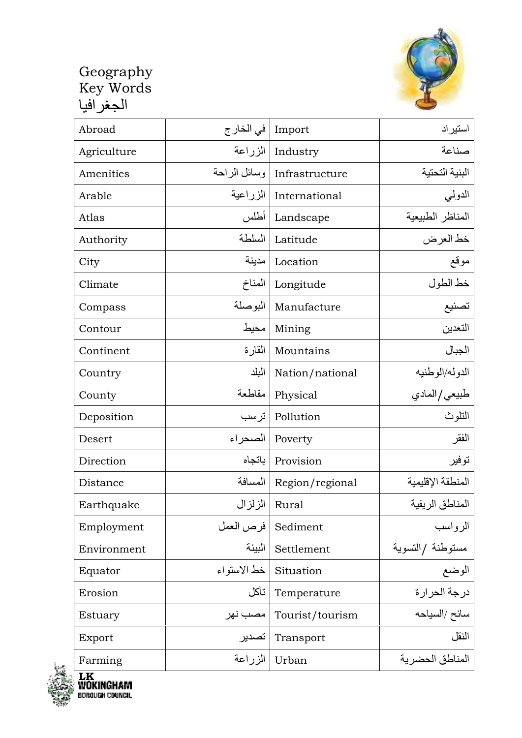

| Abroad      | في الخار ج  | Import                        | استيراد           |
|-------------|-------------|-------------------------------|-------------------|
| Agriculture |             | Industry   الزراعة            | صناعة             |
| Amenities   |             | Infrastructure   وسائل الراحة | البنية التحتية    |
| Arable      |             | International   الزراعية      | الدولي            |
| Atlas       | أطلس        | Landscape                     | المناظر الطبيعية  |
| Authority   | السلطة      | Latitude                      | خط العرض          |
| City        | مدينة       | Location                      | موقع              |
| Climate     | المناخ      | Longitude                     | خط الطول          |
| Compass     | البوصلة     | Manufacture                   | تصنيع             |
| Contour     | محيط        | Mining                        | التعدين           |
| Continent   | القارة      | Mountains                     | الجبال            |
| Country     | البلد       | Nation/national               | الدوله/الوطنيه    |
| County      | مقاطعة      | Physical                      | طبيعي/المادي      |
| Deposition  | ترسب        | Pollution                     | النلوث            |
| Desert      | الصحر اء    | Poverty                       | الفقر             |
| Direction   | باتجاه      | Provision                     | توفير             |
| Distance    |             | Region/regional   المسافة     | المنطقة الإقليمية |
| Earthquake  |             | Rural   الزلزال               | المناطق الريفية   |
| Employment  | فرص العمل   | Sediment                      | الرواسب           |
| Environment | البيئة      | Settlement                    | مستوطنة /التسوية  |
| Equator     | خط الاستواء | Situation                     | الوضع             |
| Erosion     | تآكل        | Temperature                   | درجة الحرارة      |
| Estuary     | مصب نهر     | Tourist/tourism               |                   |
| Export      | تصدير       | Transport                     | النقل             |
| Farming     | الزراعة     | Urban                         | المناطق الحضرية   |